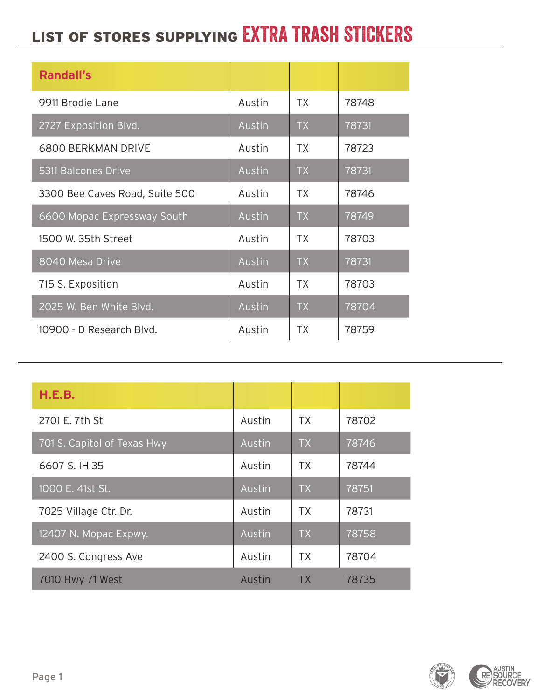## LIST OF STORES SUPPLYING EXTRA TRASH STICKERS

| <b>Randall's</b>               |        |           |       |
|--------------------------------|--------|-----------|-------|
| 9911 Brodie Lane               | Austin | <b>TX</b> | 78748 |
| 2727 Exposition Blvd.          | Austin | <b>TX</b> | 78731 |
| <b>6800 BERKMAN DRIVE</b>      | Austin | <b>TX</b> | 78723 |
| 5311 Balcones Drive            | Austin | <b>TX</b> | 78731 |
| 3300 Bee Caves Road, Suite 500 | Austin | <b>TX</b> | 78746 |
| 6600 Mopac Expressway South    | Austin | <b>TX</b> | 78749 |
| 1500 W. 35th Street            | Austin | <b>TX</b> | 78703 |
| 8040 Mesa Drive                | Austin | <b>TX</b> | 78731 |
| 715 S. Exposition              | Austin | <b>TX</b> | 78703 |
| 2025 W. Ben White Blvd.        | Austin | <b>TX</b> | 78704 |
| 10900 - D Research Blvd.       | Austin | <b>TX</b> | 78759 |

| H.E.B.                      |        |           |       |
|-----------------------------|--------|-----------|-------|
| 2701 E. 7th St              | Austin | <b>TX</b> | 78702 |
| 701 S. Capitol of Texas Hwy | Austin | <b>TX</b> | 78746 |
| 6607 S. IH 35               | Austin | <b>TX</b> | 78744 |
| 1000 E. 41st St.            | Austin | <b>TX</b> | 78751 |
| 7025 Village Ctr. Dr.       | Austin | <b>TX</b> | 78731 |
| 12407 N. Mopac Expwy.       | Austin | <b>TX</b> | 78758 |
| 2400 S. Congress Ave        | Austin | <b>TX</b> | 78704 |
| 7010 Hwy 71 West            | Austin | TХ        | 78735 |